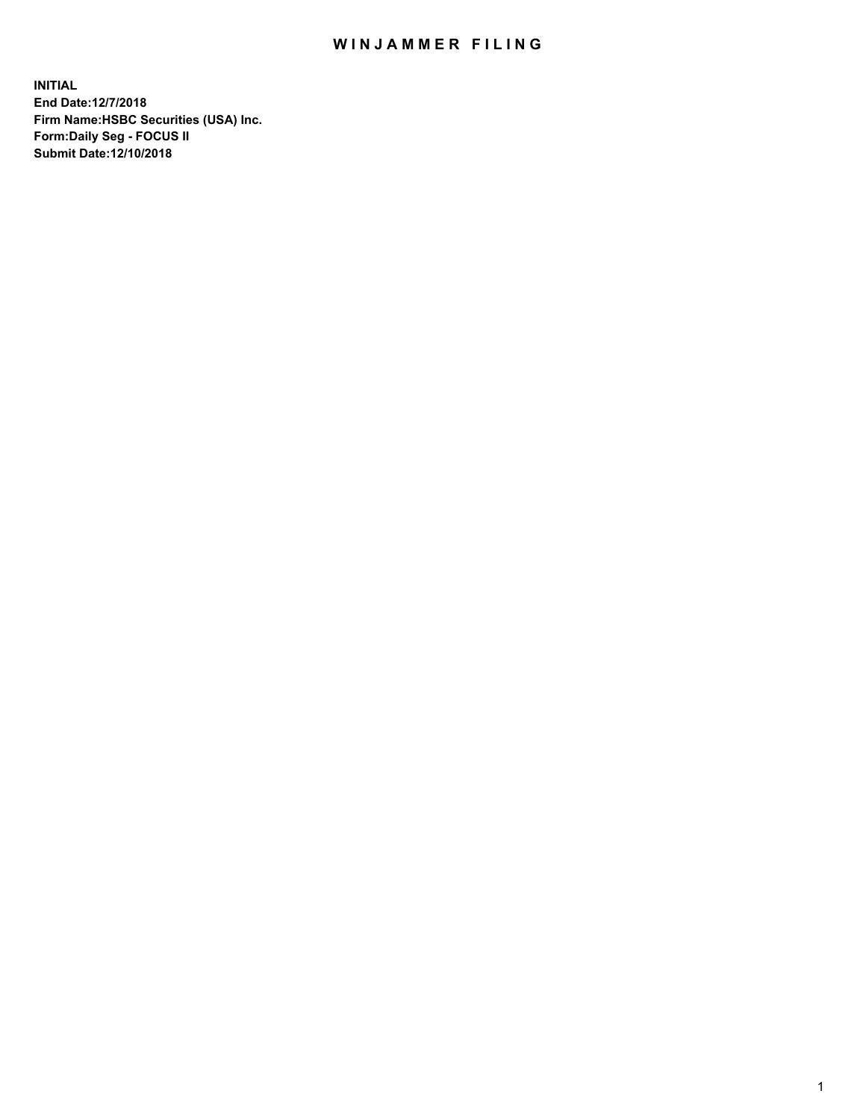## WIN JAMMER FILING

**INITIAL End Date:12/7/2018 Firm Name:HSBC Securities (USA) Inc. Form:Daily Seg - FOCUS II Submit Date:12/10/2018**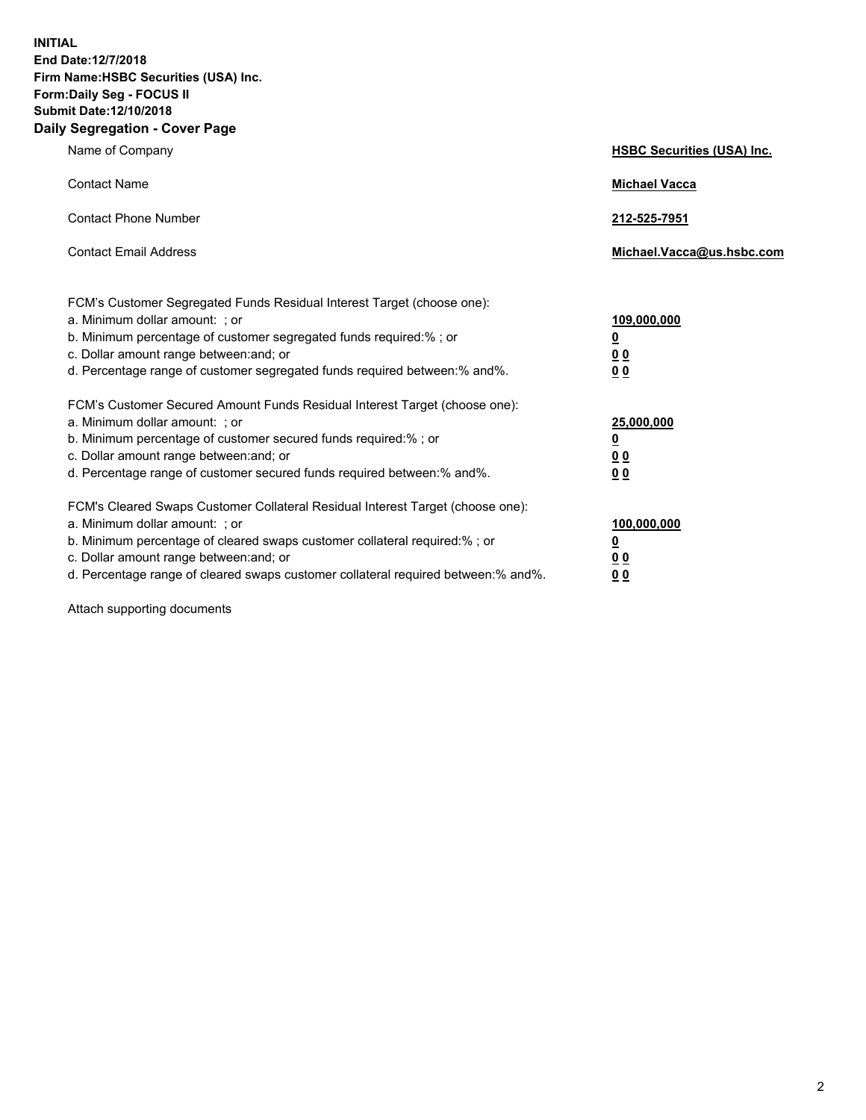**INITIAL End Date:12/7/2018 Firm Name:HSBC Securities (USA) Inc. Form:Daily Seg - FOCUS II Submit Date:12/10/2018 Daily Segregation - Cover Page**

| Name of Company                                                                                                                                                                                                                                                                                                                | <b>HSBC Securities (USA) Inc.</b>                           |
|--------------------------------------------------------------------------------------------------------------------------------------------------------------------------------------------------------------------------------------------------------------------------------------------------------------------------------|-------------------------------------------------------------|
| <b>Contact Name</b>                                                                                                                                                                                                                                                                                                            | <b>Michael Vacca</b>                                        |
| <b>Contact Phone Number</b>                                                                                                                                                                                                                                                                                                    | 212-525-7951                                                |
| <b>Contact Email Address</b>                                                                                                                                                                                                                                                                                                   | Michael.Vacca@us.hsbc.com                                   |
| FCM's Customer Segregated Funds Residual Interest Target (choose one):<br>a. Minimum dollar amount: : or<br>b. Minimum percentage of customer segregated funds required:% ; or<br>c. Dollar amount range between: and; or<br>d. Percentage range of customer segregated funds required between:% and%.                         | 109,000,000<br><u>0</u><br>0 <sub>0</sub><br>0 <sub>0</sub> |
| FCM's Customer Secured Amount Funds Residual Interest Target (choose one):<br>a. Minimum dollar amount: ; or<br>b. Minimum percentage of customer secured funds required:%; or<br>c. Dollar amount range between: and; or<br>d. Percentage range of customer secured funds required between:% and%.                            | 25,000,000<br><u>0</u><br>0 <sub>0</sub><br>00              |
| FCM's Cleared Swaps Customer Collateral Residual Interest Target (choose one):<br>a. Minimum dollar amount: : or<br>b. Minimum percentage of cleared swaps customer collateral required:% ; or<br>c. Dollar amount range between: and; or<br>d. Percentage range of cleared swaps customer collateral required between:% and%. | 100,000,000<br><u>0</u><br><u>00</u><br>0 <sub>0</sub>      |

Attach supporting documents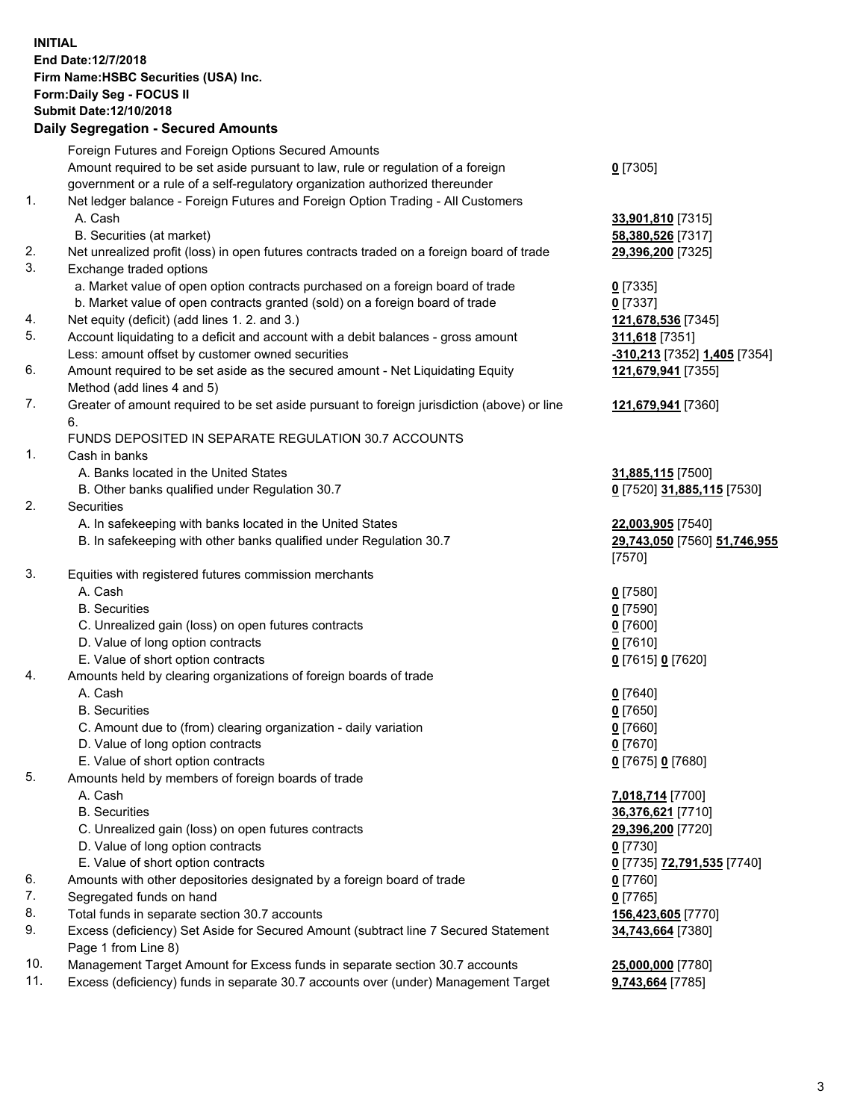**INITIAL End Date:12/7/2018 Firm Name:HSBC Securities (USA) Inc. Form:Daily Seg - FOCUS II Submit Date:12/10/2018 Daily Segregation - Secured Amounts**

|     | Foreign Futures and Foreign Options Secured Amounts                                                        |                              |
|-----|------------------------------------------------------------------------------------------------------------|------------------------------|
|     | Amount required to be set aside pursuant to law, rule or regulation of a foreign                           | $0$ [7305]                   |
|     | government or a rule of a self-regulatory organization authorized thereunder                               |                              |
| 1.  | Net ledger balance - Foreign Futures and Foreign Option Trading - All Customers                            |                              |
|     | A. Cash                                                                                                    | 33,901,810 [7315]            |
|     | B. Securities (at market)                                                                                  | 58,380,526 [7317]            |
| 2.  | Net unrealized profit (loss) in open futures contracts traded on a foreign board of trade                  | 29,396,200 [7325]            |
| 3.  | Exchange traded options                                                                                    |                              |
|     | a. Market value of open option contracts purchased on a foreign board of trade                             | $0$ [7335]                   |
|     | b. Market value of open contracts granted (sold) on a foreign board of trade                               | $0$ [7337]                   |
| 4.  | Net equity (deficit) (add lines 1.2. and 3.)                                                               | 121,678,536 [7345]           |
| 5.  | Account liquidating to a deficit and account with a debit balances - gross amount                          | 311,618 [7351]               |
|     | Less: amount offset by customer owned securities                                                           | -310,213 [7352] 1,405 [7354] |
| 6.  | Amount required to be set aside as the secured amount - Net Liquidating Equity                             | 121,679,941 [7355]           |
|     | Method (add lines 4 and 5)                                                                                 |                              |
| 7.  | Greater of amount required to be set aside pursuant to foreign jurisdiction (above) or line<br>6.          | 121,679,941 [7360]           |
|     | FUNDS DEPOSITED IN SEPARATE REGULATION 30.7 ACCOUNTS                                                       |                              |
| 1.  | Cash in banks                                                                                              |                              |
|     | A. Banks located in the United States                                                                      | 31,885,115 [7500]            |
|     | B. Other banks qualified under Regulation 30.7                                                             | 0 [7520] 31,885,115 [7530]   |
| 2.  | Securities                                                                                                 |                              |
|     | A. In safekeeping with banks located in the United States                                                  | 22,003,905 [7540]            |
|     | B. In safekeeping with other banks qualified under Regulation 30.7                                         | 29,743,050 [7560] 51,746,955 |
|     |                                                                                                            | [7570]                       |
| 3.  | Equities with registered futures commission merchants                                                      |                              |
|     | A. Cash                                                                                                    | $0$ [7580]                   |
|     | <b>B.</b> Securities                                                                                       | $0$ [7590]                   |
|     | C. Unrealized gain (loss) on open futures contracts                                                        | $0$ [7600]                   |
|     | D. Value of long option contracts                                                                          | $0$ [7610]                   |
|     | E. Value of short option contracts                                                                         | 0 [7615] 0 [7620]            |
| 4.  | Amounts held by clearing organizations of foreign boards of trade                                          |                              |
|     | A. Cash                                                                                                    | $0$ [7640]                   |
|     | <b>B.</b> Securities                                                                                       | $0$ [7650]                   |
|     | C. Amount due to (from) clearing organization - daily variation                                            | $0$ [7660]                   |
|     | D. Value of long option contracts                                                                          | $0$ [7670]                   |
|     | E. Value of short option contracts                                                                         | 0 [7675] 0 [7680]            |
| 5.  | Amounts held by members of foreign boards of trade                                                         |                              |
|     | A. Cash                                                                                                    | 7,018,714 [7700]             |
|     | <b>B.</b> Securities                                                                                       | 36,376,621 [7710]            |
|     | C. Unrealized gain (loss) on open futures contracts                                                        | 29,396,200 [7720]            |
|     | D. Value of long option contracts                                                                          | $0$ [7730]                   |
|     | E. Value of short option contracts                                                                         | 0 [7735] 72,791,535 [7740]   |
| 6.  | Amounts with other depositories designated by a foreign board of trade                                     | $0$ [7760]                   |
| 7.  | Segregated funds on hand                                                                                   | $0$ [7765]                   |
| 8.  | Total funds in separate section 30.7 accounts                                                              | 156,423,605 [7770]           |
| 9.  | Excess (deficiency) Set Aside for Secured Amount (subtract line 7 Secured Statement<br>Page 1 from Line 8) | 34,743,664 [7380]            |
| 10. | Management Target Amount for Excess funds in separate section 30.7 accounts                                | 25,000,000 [7780]            |
| 11. | Excess (deficiency) funds in separate 30.7 accounts over (under) Management Target                         | 9,743,664 [7785]             |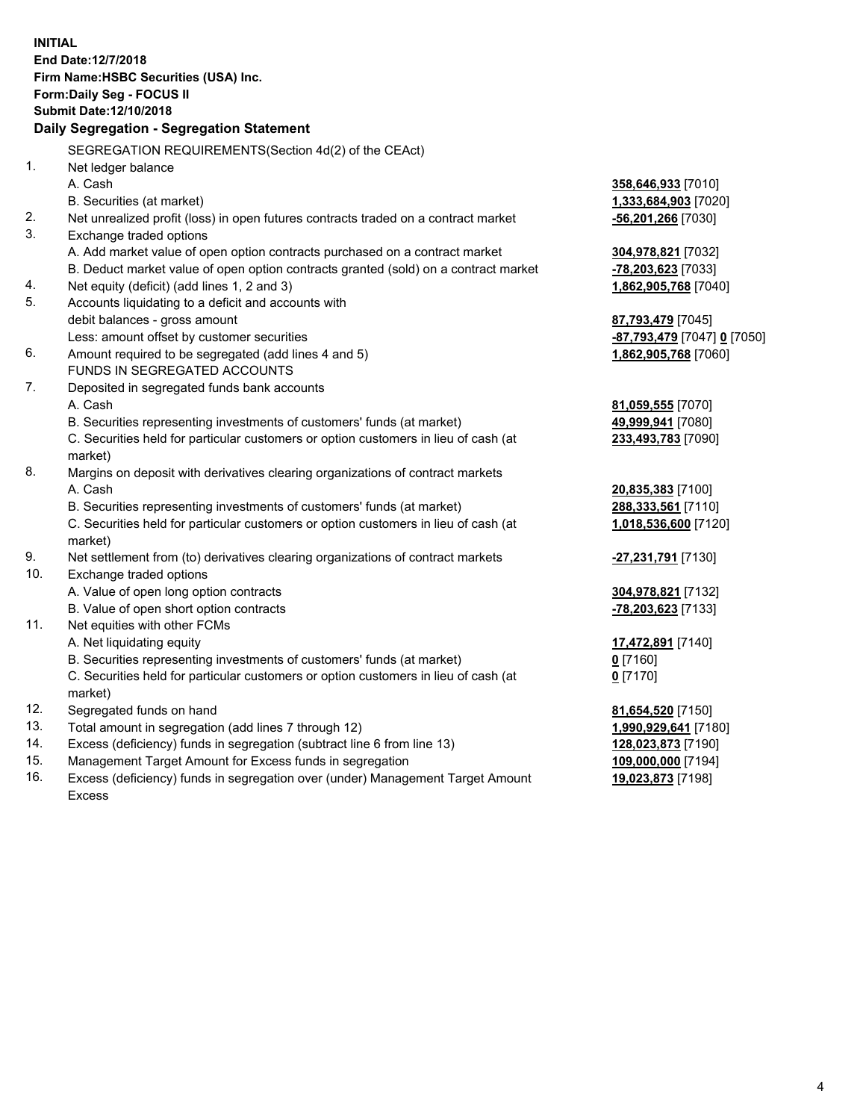|            | <b>INITIAL</b><br>End Date:12/7/2018<br>Firm Name: HSBC Securities (USA) Inc.<br><b>Form:Daily Seg - FOCUS II</b><br><b>Submit Date: 12/10/2018</b><br>Daily Segregation - Segregation Statement |                                          |
|------------|--------------------------------------------------------------------------------------------------------------------------------------------------------------------------------------------------|------------------------------------------|
|            | SEGREGATION REQUIREMENTS (Section 4d(2) of the CEAct)                                                                                                                                            |                                          |
| 1.         | Net ledger balance                                                                                                                                                                               |                                          |
|            | A. Cash                                                                                                                                                                                          | 358,646,933 [7010]                       |
|            | B. Securities (at market)                                                                                                                                                                        | 1,333,684,903 [7020]                     |
| 2.         | Net unrealized profit (loss) in open futures contracts traded on a contract market                                                                                                               | -56,201,266 [7030]                       |
| 3.         | Exchange traded options                                                                                                                                                                          |                                          |
|            | A. Add market value of open option contracts purchased on a contract market                                                                                                                      | 304,978,821 [7032]                       |
|            | B. Deduct market value of open option contracts granted (sold) on a contract market                                                                                                              | <u>-78,203,623</u> [7033]                |
| 4.         | Net equity (deficit) (add lines 1, 2 and 3)                                                                                                                                                      | 1,862,905,768 [7040]                     |
| 5.         | Accounts liquidating to a deficit and accounts with                                                                                                                                              |                                          |
|            | debit balances - gross amount                                                                                                                                                                    | 87,793,479 [7045]                        |
|            | Less: amount offset by customer securities                                                                                                                                                       | <mark>-87,793,479</mark> [7047] 0 [7050] |
| 6.         | Amount required to be segregated (add lines 4 and 5)                                                                                                                                             | 1,862,905,768 [7060]                     |
|            | FUNDS IN SEGREGATED ACCOUNTS                                                                                                                                                                     |                                          |
| 7.         | Deposited in segregated funds bank accounts                                                                                                                                                      |                                          |
|            | A. Cash                                                                                                                                                                                          | 81,059,555 [7070]                        |
|            | B. Securities representing investments of customers' funds (at market)                                                                                                                           | 49,999,941 [7080]                        |
|            | C. Securities held for particular customers or option customers in lieu of cash (at<br>market)                                                                                                   | 233,493,783 [7090]                       |
| 8.         | Margins on deposit with derivatives clearing organizations of contract markets                                                                                                                   |                                          |
|            | A. Cash                                                                                                                                                                                          | 20,835,383 [7100]                        |
|            | B. Securities representing investments of customers' funds (at market)                                                                                                                           | 288,333,561 [7110]                       |
|            | C. Securities held for particular customers or option customers in lieu of cash (at                                                                                                              | 1,018,536,600 [7120]                     |
|            | market)                                                                                                                                                                                          |                                          |
| 9.         | Net settlement from (to) derivatives clearing organizations of contract markets                                                                                                                  | -27,231,791 [7130]                       |
| 10.        | Exchange traded options                                                                                                                                                                          |                                          |
|            | A. Value of open long option contracts                                                                                                                                                           | 304,978,821 [7132]                       |
|            | B. Value of open short option contracts                                                                                                                                                          | -78,203,623 [7133]                       |
| 11.        | Net equities with other FCMs                                                                                                                                                                     |                                          |
|            | A. Net liquidating equity                                                                                                                                                                        | 17,472,891 [7140]                        |
|            | B. Securities representing investments of customers' funds (at market)                                                                                                                           | $0$ [7160]                               |
|            | C. Securities held for particular customers or option customers in lieu of cash (at                                                                                                              | $0$ [7170]                               |
|            | market)                                                                                                                                                                                          |                                          |
| 12.        | Segregated funds on hand                                                                                                                                                                         | 81,654,520 [7150]                        |
| 13.        | Total amount in segregation (add lines 7 through 12)                                                                                                                                             | 1,990,929,641 [7180]                     |
| 14.<br>15. | Excess (deficiency) funds in segregation (subtract line 6 from line 13)                                                                                                                          | 128,023,873 [7190]                       |
|            | Management Target Amount for Excess funds in segregation                                                                                                                                         | 109,000,000 [7194]                       |

16. Excess (deficiency) funds in segregation over (under) Management Target Amount Excess

**19,023,873** [7198]